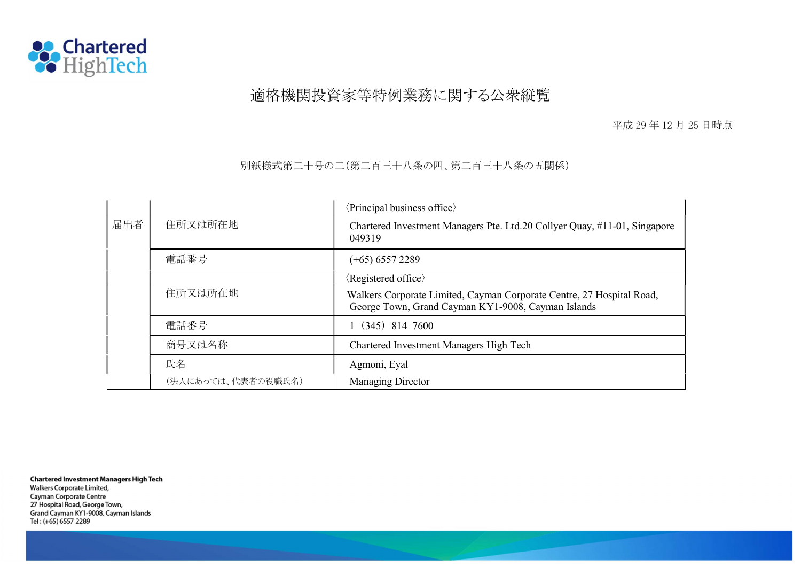

## 適格機関投資家等特例業務に関する公衆縦覧

平成 29 年 12 月 25 日時点

別紙様式第二十号の二(第二百三十八条の四、第二百三十八条の五関係)

|        |                    | $\langle$ Principal business office $\rangle$                                                                               |  |  |  |
|--------|--------------------|-----------------------------------------------------------------------------------------------------------------------------|--|--|--|
| 届出者    | 住所又は所在地            | Chartered Investment Managers Pte. Ltd.20 Collyer Quay, #11-01, Singapore<br>049319                                         |  |  |  |
| 電話番号   |                    | $(+65)$ 6557 2289                                                                                                           |  |  |  |
|        |                    | $\langle$ Registered office $\rangle$                                                                                       |  |  |  |
|        | 住所又は所在地            | Walkers Corporate Limited, Cayman Corporate Centre, 27 Hospital Road,<br>George Town, Grand Cayman KY1-9008, Cayman Islands |  |  |  |
| 電話番号   |                    | $(345)$ 814 7600                                                                                                            |  |  |  |
| 商号又は名称 |                    | Chartered Investment Managers High Tech                                                                                     |  |  |  |
| 氏名     |                    | Agmoni, Eyal                                                                                                                |  |  |  |
|        | (法人にあっては、代表者の役職氏名) | Managing Director                                                                                                           |  |  |  |

**Chartered Investment Managers High Tech** Walkers Corporate Limited, Cayman Corporate Centre 27 Hospital Road, George Town, Grand Cayman KY1-9008, Cayman Islands Tel: (+65) 6557 2289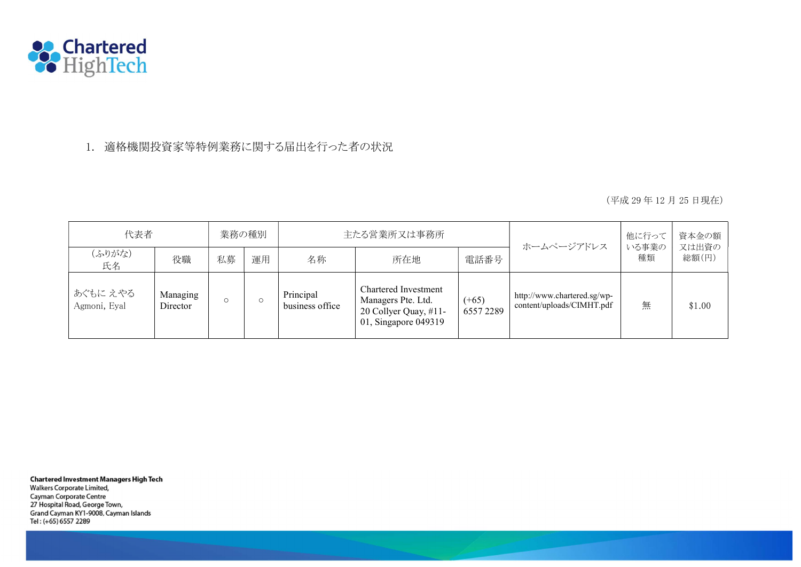

1. 適格機関投資家等特例業務に関する届出を行った者の状況

(平成 29 年 12 月 25 日現在)

| 代表者                      |                      | 業務の種別   |    |                              | 主たる営業所又は事務所                                                                                 |                     | ホームページアドレス                                               | 他に行って       | 資本金の額<br>又は出資の |
|--------------------------|----------------------|---------|----|------------------------------|---------------------------------------------------------------------------------------------|---------------------|----------------------------------------------------------|-------------|----------------|
| (ふりがな)<br>氏名             | 役職                   | 私募      | 運用 | 名称                           | 所在地                                                                                         | 電話番号                |                                                          | いる事業の<br>種類 | 総額(円)          |
| あぐもに えやる<br>Agmoni, Eyal | Managing<br>Director | $\circ$ |    | Principal<br>business office | Chartered Investment<br>Managers Pte. Ltd.<br>20 Collyer Quay, #11-<br>01, Singapore 049319 | $(+65)$<br>65572289 | http://www.chartered.sg/wp-<br>content/uploads/CIMHT.pdf | 無           | \$1.00         |

**Chartered Investment Managers High Tech** Walkers Corporate Limited, Cayman Corporate Centre 27 Hospital Road, George Town,

Grand Cayman KY1-9008, Cayman Islands Tel: (+65) 6557 2289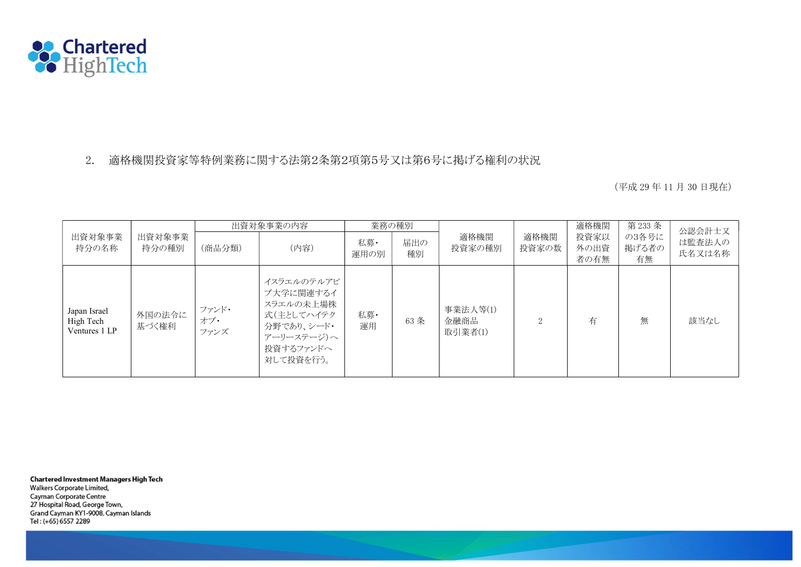

## 2. 適格機関投資家等特例業務に関する法第2条第2項第5号又は第6号に掲げる権利の状況

(平成 29 年 11 月 30 日現在)

|                                            | 出資対象事業<br>持分の種別 | 出資対象事業の内容            |                                                                                                          | 業務の種別       |           |                             |                   | 適格機関                 | 第233条                | 公認会計士又           |
|--------------------------------------------|-----------------|----------------------|----------------------------------------------------------------------------------------------------------|-------------|-----------|-----------------------------|-------------------|----------------------|----------------------|------------------|
| 出資対象事業<br>持分の名称                            |                 | (商品分類)               | (内容)                                                                                                     | 私募·<br>運用の別 | 届出の<br>種別 | 適格機関<br>投資家の種別              | 適格機関<br>投資家の数     | 投資家以<br>外の出資<br>者の有無 | の3各号に<br>掲げる者の<br>有無 | は監査法人の<br>氏名又は名称 |
| Japan Israel<br>High Tech<br>Ventures 1 LP | 外国の法令に<br>基づく権利 | ファンド・<br>オブ・<br>ファンズ | イスラエルのテルアビ<br>ブ大学に関連するイ<br>スラエルの未上場株<br>式(主としてハイテク<br>分野であり、シード・<br>アーリーステージ)へ<br>投資するファンドへ<br>対して投資を行う。 | 私募·<br>運用   | 63 条      | 事業法人等(1)<br>金融商品<br>取引業者(1) | $\mathcal{D}_{1}$ | 有                    | 無                    | 該当なし             |

**Chartered Investment Managers High Tech** 

Walkers Corporate Limited, Cayman Corporate Centre 27 Hospital Road, George Town, Grand Cayman KY1-9008, Cayman Islands Tel: (+65) 6557 2289